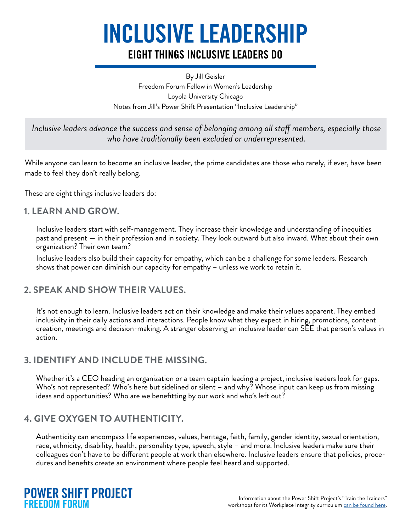# INCLUSIVE LEADERSHIP

### EIGHT THINGS INCLUSIVE LEADERS DO

By Jill Geisler Freedom Forum Fellow in Women's Leadership Loyola University Chicago Notes from Jill's Power Shift Presentation "Inclusive Leadership"

*Inclusive leaders advance the success and sense of belonging among all staff members, especially those who have traditionally been excluded or underrepresented.* 

While anyone can learn to become an inclusive leader, the prime candidates are those who rarely, if ever, have been made to feel they don't really belong.

These are eight things inclusive leaders do:

### **1. LEARN AND GROW.**

Inclusive leaders start with self-management. They increase their knowledge and understanding of inequities past and present — in their profession and in society. They look outward but also inward. What about their own organization? Their own team?

Inclusive leaders also build their capacity for empathy, which can be a challenge for some leaders. Research shows that power can diminish our capacity for empathy – unless we work to retain it.

### **2. SPEAK AND SHOW THEIR VALUES.**

It's not enough to learn. Inclusive leaders act on their knowledge and make their values apparent. They embed inclusivity in their daily actions and interactions. People know what they expect in hiring, promotions, content creation, meetings and decision-making. A stranger observing an inclusive leader can SEE that person's values in action.

### **3. IDENTIFY AND INCLUDE THE MISSING.**

Whether it's a CEO heading an organization or a team captain leading a project, inclusive leaders look for gaps. Who's not represented? Who's here but sidelined or silent – and why? Whose input can keep us from missing ideas and opportunities? Who are we benefitting by our work and who's left out?

### **4. GIVE OXYGEN TO AUTHENTICITY.**

Authenticity can encompass life experiences, values, heritage, faith, family, gender identity, sexual orientation, race, ethnicity, disability, health, personality type, speech, style – and more. Inclusive leaders make sure their colleagues don't have to be different people at work than elsewhere. Inclusive leaders ensure that policies, procedures and benefits create an environment where people feel heard and supported.